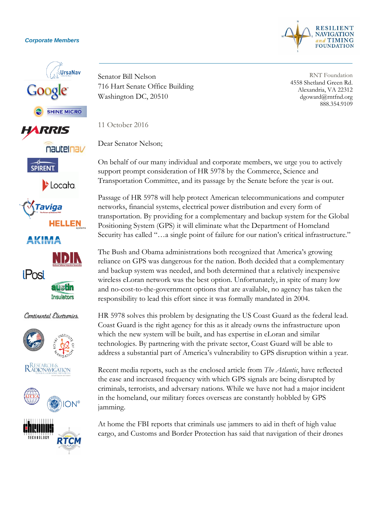## *Corporate Members*



RNT Foundation 4558 Shetland Green Rd. Alexandria, VA 22312 dgoward@rntfnd.org 888.354.9109







 $\blacktriangleright$  Locata.







## Continental Electronics









Senator Bill Nelson 716 Hart Senate Office Building Washington DC, 20510

11 October 2016

Dear Senator Nelson;

On behalf of our many individual and corporate members, we urge you to actively support prompt consideration of HR 5978 by the Commerce, Science and Transportation Committee, and its passage by the Senate before the year is out.

Passage of HR 5978 will help protect American telecommunications and computer networks, financial systems, electrical power distribution and every form of transportation. By providing for a complementary and backup system for the Global Positioning System (GPS) it will eliminate what the Department of Homeland Security has called "…a single point of failure for our nation's critical infrastructure."

The Bush and Obama administrations both recognized that America's growing reliance on GPS was dangerous for the nation. Both decided that a complementary and backup system was needed, and both determined that a relatively inexpensive wireless eLoran network was the best option. Unfortunately, in spite of many low and no-cost-to-the-government options that are available, no agency has taken the responsibility to lead this effort since it was formally mandated in 2004.

HR 5978 solves this problem by designating the US Coast Guard as the federal lead. Coast Guard is the right agency for this as it already owns the infrastructure upon which the new system will be built, and has expertise in eLoran and similar technologies. By partnering with the private sector, Coast Guard will be able to address a substantial part of America's vulnerability to GPS disruption within a year.

Recent media reports, such as the enclosed article from *The Atlantic*, have reflected the ease and increased frequency with which GPS signals are being disrupted by criminals, terrorists, and adversary nations. While we have not had a major incident in the homeland, our military forces overseas are constantly hobbled by GPS jamming.

At home the FBI reports that criminals use jammers to aid in theft of high value cargo, and Customs and Border Protection has said that navigation of their drones